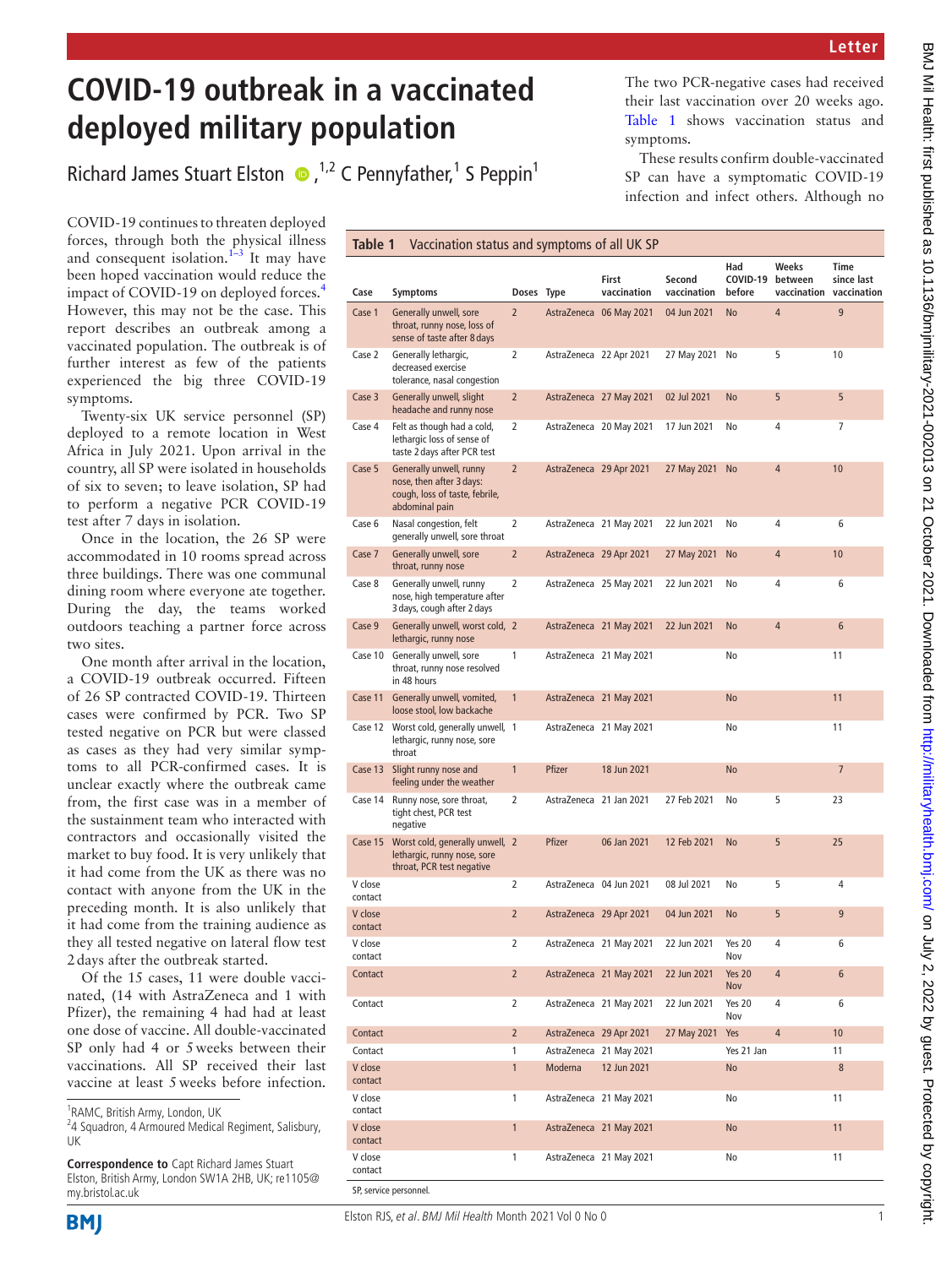## **COVID-19 outbreak in a vaccinated deployed military population**

RichardJames Stuart Elston  $\bullet$ , <sup>1,2</sup> C Pennyfather,<sup>1</sup> S Peppin<sup>1</sup>

COVID-19 continues to threaten deployed forces, through both the physical illness and consequent isolation. $1-3$  It may have been hoped vaccination would reduce the impact of COVID-19 on deployed forces.[4](#page-1-1) However, this may not be the case. This report describes an outbreak among a vaccinated population. The outbreak is of further interest as few of the patients experienced the big three COVID-19 symptoms.

Twenty-six UK service personnel (SP) deployed to a remote location in West Africa in July 2021. Upon arrival in the country, all SP were isolated in households of six to seven; to leave isolation, SP had to perform a negative PCR COVID-19 test after 7 days in isolation.

Once in the location, the 26 SP were accommodated in 10 rooms spread across three buildings. There was one communal dining room where everyone ate together. During the day, the teams worked outdoors teaching a partner force across two sites.

One month after arrival in the location, a COVID-19 outbreak occurred. Fifteen of 26 SP contracted COVID-19. Thirteen cases were confirmed by PCR. Two SP tested negative on PCR but were classed as cases as they had very similar symptoms to all PCR-confirmed cases. It is unclear exactly where the outbreak came from, the first case was in a member of the sustainment team who interacted with contractors and occasionally visited the market to buy food. It is very unlikely that it had come from the UK as there was no contact with anyone from the UK in the preceding month. It is also unlikely that it had come from the training audience as they all tested negative on lateral flow test 2days after the outbreak started.

Of the 15 cases, 11 were double vaccinated, (14 with AstraZeneca and 1 with Pfizer), the remaining 4 had had at least one dose of vaccine. All double-vaccinated SP only had 4 or 5weeks between their vaccinations. All SP received their last vaccine at least 5weeks before infection.

<sup>1</sup>RAMC, British Army, London, UK

**Correspondence to** Capt Richard James Stuart Elston, British Army, London SW1A 2HB, UK; re1105@ my.bristol.ac.uk

SP, service personnel.

The two PCR-negative cases had received their last vaccination over 20 weeks ago. [Table](#page-0-0) 1 shows vaccination status and symptoms.

These results confirm double-vaccinated SP can have a symptomatic COVID-19 infection and infect others. Although no

<span id="page-0-0"></span>

| <b>Symptoms</b>                                                                                         |                |                                                                                                       | First<br>vaccination | Second<br>vaccination                                                                                                                                                                                                                                                                                                                                                                                                                                                                                                                                                                                                                                                                     | Had<br>before               | Weeks<br>between | Time<br>since last                  |
|---------------------------------------------------------------------------------------------------------|----------------|-------------------------------------------------------------------------------------------------------|----------------------|-------------------------------------------------------------------------------------------------------------------------------------------------------------------------------------------------------------------------------------------------------------------------------------------------------------------------------------------------------------------------------------------------------------------------------------------------------------------------------------------------------------------------------------------------------------------------------------------------------------------------------------------------------------------------------------------|-----------------------------|------------------|-------------------------------------|
| Generally unwell, sore<br>throat, runny nose, loss of<br>sense of taste after 8 days                    | $\overline{2}$ |                                                                                                       |                      | 04 Jun 2021                                                                                                                                                                                                                                                                                                                                                                                                                                                                                                                                                                                                                                                                               | No                          | 4                | 9                                   |
| Generally lethargic,<br>decreased exercise<br>tolerance, nasal congestion                               | 2              |                                                                                                       |                      | 27 May 2021                                                                                                                                                                                                                                                                                                                                                                                                                                                                                                                                                                                                                                                                               | No                          | 5                | 10                                  |
| Generally unwell, slight<br>headache and runny nose                                                     | $\overline{2}$ |                                                                                                       |                      | 02 Jul 2021                                                                                                                                                                                                                                                                                                                                                                                                                                                                                                                                                                                                                                                                               | No                          | 5                | 5                                   |
| Felt as though had a cold,<br>lethargic loss of sense of<br>taste 2 days after PCR test                 | 2              |                                                                                                       |                      | 17 Jun 2021                                                                                                                                                                                                                                                                                                                                                                                                                                                                                                                                                                                                                                                                               | No                          | 4                | 7                                   |
| Generally unwell, runny<br>nose, then after 3 days:<br>cough, loss of taste, febrile,<br>abdominal pain | $\overline{2}$ |                                                                                                       |                      | 27 May 2021                                                                                                                                                                                                                                                                                                                                                                                                                                                                                                                                                                                                                                                                               | <b>No</b>                   | $\overline{a}$   | 10                                  |
| Nasal congestion, felt<br>generally unwell, sore throat                                                 | 2              |                                                                                                       |                      | 22 Jun 2021                                                                                                                                                                                                                                                                                                                                                                                                                                                                                                                                                                                                                                                                               | No                          | 4                | 6                                   |
| Generally unwell, sore<br>throat, runny nose                                                            | $\overline{2}$ |                                                                                                       |                      | 27 May 2021                                                                                                                                                                                                                                                                                                                                                                                                                                                                                                                                                                                                                                                                               | No                          | 4                | 10                                  |
| Generally unwell, runny<br>nose, high temperature after<br>3 days, cough after 2 days                   | 2              |                                                                                                       |                      | 22 Jun 2021                                                                                                                                                                                                                                                                                                                                                                                                                                                                                                                                                                                                                                                                               | No                          | 4                | 6                                   |
| lethargic, runny nose                                                                                   |                |                                                                                                       |                      | 22 Jun 2021                                                                                                                                                                                                                                                                                                                                                                                                                                                                                                                                                                                                                                                                               | <b>No</b>                   | $\overline{4}$   | 6                                   |
| Generally unwell, sore<br>throat, runny nose resolved<br>in 48 hours                                    | 1              |                                                                                                       |                      |                                                                                                                                                                                                                                                                                                                                                                                                                                                                                                                                                                                                                                                                                           | No                          |                  | 11                                  |
| Generally unwell, vomited,<br>loose stool, low backache                                                 | $\mathbf{1}$   |                                                                                                       |                      |                                                                                                                                                                                                                                                                                                                                                                                                                                                                                                                                                                                                                                                                                           | <b>No</b>                   |                  | 11                                  |
| lethargic, runny nose, sore<br>throat                                                                   |                |                                                                                                       |                      |                                                                                                                                                                                                                                                                                                                                                                                                                                                                                                                                                                                                                                                                                           | No                          |                  | 11                                  |
| Slight runny nose and<br>feeling under the weather                                                      | $\mathbf{1}$   | Pfizer                                                                                                | 18 Jun 2021          |                                                                                                                                                                                                                                                                                                                                                                                                                                                                                                                                                                                                                                                                                           | No                          |                  | 7                                   |
| Runny nose, sore throat,<br>tight chest, PCR test<br>negative                                           | 2              |                                                                                                       |                      | 27 Feb 2021                                                                                                                                                                                                                                                                                                                                                                                                                                                                                                                                                                                                                                                                               | No                          | 5                | 23                                  |
| lethargic, runny nose, sore<br>throat, PCR test negative                                                |                | Pfizer                                                                                                | 06 Jan 2021          | 12 Feb 2021                                                                                                                                                                                                                                                                                                                                                                                                                                                                                                                                                                                                                                                                               | <b>No</b>                   | 5                | 25                                  |
|                                                                                                         | 2              |                                                                                                       |                      | 08 Jul 2021                                                                                                                                                                                                                                                                                                                                                                                                                                                                                                                                                                                                                                                                               | No                          | 5                | 4                                   |
|                                                                                                         | $\overline{2}$ |                                                                                                       |                      | 04 Jun 2021                                                                                                                                                                                                                                                                                                                                                                                                                                                                                                                                                                                                                                                                               | No                          | 5                | 9                                   |
|                                                                                                         | 2              |                                                                                                       |                      | 22 Jun 2021                                                                                                                                                                                                                                                                                                                                                                                                                                                                                                                                                                                                                                                                               | <b>Yes 20</b><br><b>NOV</b> | 4                | 6                                   |
|                                                                                                         | $\overline{2}$ |                                                                                                       |                      | 22 Jun 2021                                                                                                                                                                                                                                                                                                                                                                                                                                                                                                                                                                                                                                                                               | <b>Yes 20</b><br>Nov        | 4                | 6                                   |
|                                                                                                         | 2              |                                                                                                       |                      | 22 Jun 2021                                                                                                                                                                                                                                                                                                                                                                                                                                                                                                                                                                                                                                                                               | Yes 20<br>Nov               | 4                | 6                                   |
|                                                                                                         | $\overline{2}$ |                                                                                                       |                      | 27 May 2021                                                                                                                                                                                                                                                                                                                                                                                                                                                                                                                                                                                                                                                                               | Yes                         | $\overline{4}$   | 10                                  |
|                                                                                                         | 1              |                                                                                                       |                      |                                                                                                                                                                                                                                                                                                                                                                                                                                                                                                                                                                                                                                                                                           | Yes 21 Jan                  |                  | 11                                  |
|                                                                                                         | $\mathbf{1}$   | Moderna                                                                                               | 12 Jun 2021          |                                                                                                                                                                                                                                                                                                                                                                                                                                                                                                                                                                                                                                                                                           | No                          |                  | 8                                   |
|                                                                                                         | 1              |                                                                                                       |                      |                                                                                                                                                                                                                                                                                                                                                                                                                                                                                                                                                                                                                                                                                           | No                          |                  | 11                                  |
|                                                                                                         | 1              |                                                                                                       |                      |                                                                                                                                                                                                                                                                                                                                                                                                                                                                                                                                                                                                                                                                                           | No                          |                  | 11                                  |
|                                                                                                         | 1              |                                                                                                       |                      |                                                                                                                                                                                                                                                                                                                                                                                                                                                                                                                                                                                                                                                                                           | No                          |                  | 11                                  |
|                                                                                                         | Table 1        | Generally unwell, worst cold, 2<br>Worst cold, generally unwell, 1<br>Worst cold, generally unwell, 2 | Doses Type           | Vaccination status and symptoms of all UK SP<br>AstraZeneca 06 May 2021<br>AstraZeneca 22 Apr 2021<br>AstraZeneca 27 May 2021<br>AstraZeneca 20 May 2021<br>AstraZeneca 29 Apr 2021<br>AstraZeneca 21 May 2021<br>AstraZeneca 29 Apr 2021<br>AstraZeneca 25 May 2021<br>AstraZeneca 21 May 2021<br>AstraZeneca 21 May 2021<br>AstraZeneca 21 May 2021<br>AstraZeneca 21 May 2021<br>AstraZeneca 21 Jan 2021<br>AstraZeneca 04 Jun 2021<br>AstraZeneca 29 Apr 2021<br>AstraZeneca 21 May 2021<br>AstraZeneca 21 May 2021<br>AstraZeneca 21 May 2021<br>AstraZeneca 29 Apr 2021<br>AstraZeneca 21 May 2021<br>AstraZeneca 21 May 2021<br>AstraZeneca 21 May 2021<br>AstraZeneca 21 May 2021 |                             |                  | COVID-19<br>vaccination vaccination |

BMJ Mil Health: first published as 10.1136/bmjmilitary-2021-002013 on 21 October 2021. Downloaded from http://militaryhealth.bmj.com/ on July 2, 2022 by guest. Protected by copyright BMJ Mil Health: first published as 10.1136/bmjmilitary-2021-002013 on 21 October 2021. Downloaded from but binilitary/militaryhealth.bmj.com/ on July 2, 2022 by guest. Protected by copyright.

<sup>&</sup>lt;sup>2</sup>4 Squadron, 4 Armoured Medical Regiment, Salisbury, UK